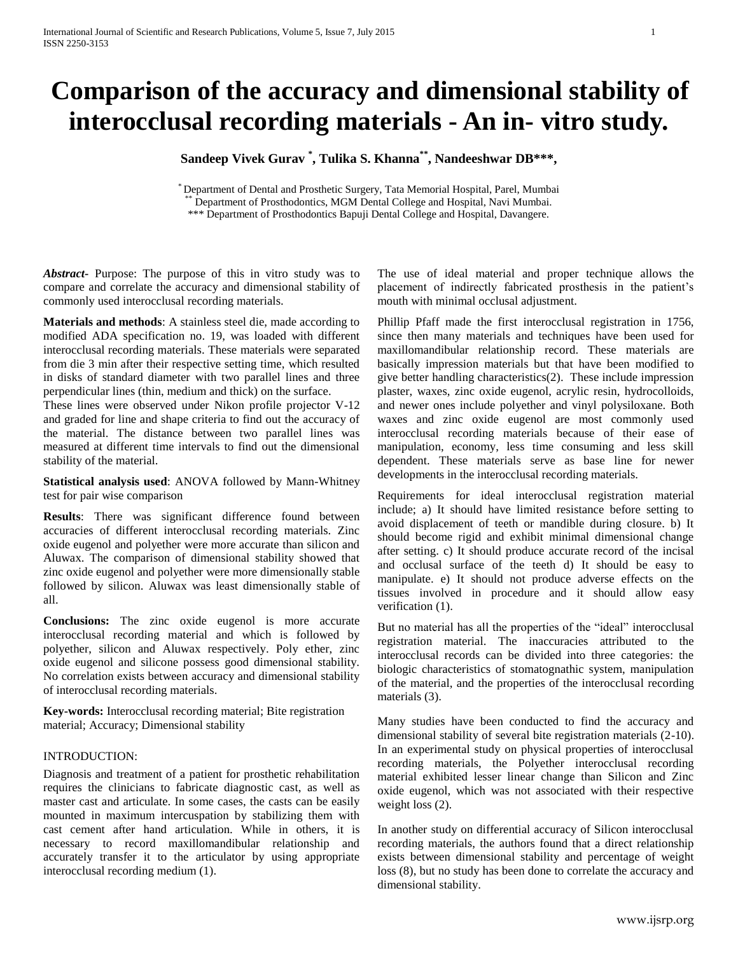# **Comparison of the accuracy and dimensional stability of interocclusal recording materials - An in- vitro study.**

**Sandeep Vivek Gurav \* , Tulika S. Khanna\*\* , Nandeeshwar DB\*\*\*,**

\* Department of Dental and Prosthetic Surgery, Tata Memorial Hospital, Parel, Mumbai Department of Prosthodontics, MGM Dental College and Hospital, Navi Mumbai.

\*\*\* Department of Prosthodontics Bapuji Dental College and Hospital, Davangere.

*Abstract***-** Purpose: The purpose of this in vitro study was to compare and correlate the accuracy and dimensional stability of commonly used interocclusal recording materials.

**Materials and methods**: A stainless steel die, made according to modified ADA specification no. 19, was loaded with different interocclusal recording materials. These materials were separated from die 3 min after their respective setting time, which resulted in disks of standard diameter with two parallel lines and three perpendicular lines (thin, medium and thick) on the surface.

These lines were observed under Nikon profile projector V-12 and graded for line and shape criteria to find out the accuracy of the material. The distance between two parallel lines was measured at different time intervals to find out the dimensional stability of the material.

**Statistical analysis used**: ANOVA followed by Mann-Whitney test for pair wise comparison

**Results**: There was significant difference found between accuracies of different interocclusal recording materials. Zinc oxide eugenol and polyether were more accurate than silicon and Aluwax. The comparison of dimensional stability showed that zinc oxide eugenol and polyether were more dimensionally stable followed by silicon. Aluwax was least dimensionally stable of all.

**Conclusions:** The zinc oxide eugenol is more accurate interocclusal recording material and which is followed by polyether, silicon and Aluwax respectively. Poly ether, zinc oxide eugenol and silicone possess good dimensional stability. No correlation exists between accuracy and dimensional stability of interocclusal recording materials.

**Key-words:** Interocclusal recording material; Bite registration material; Accuracy; Dimensional stability

#### INTRODUCTION:

Diagnosis and treatment of a patient for prosthetic rehabilitation requires the clinicians to fabricate diagnostic cast, as well as master cast and articulate. In some cases, the casts can be easily mounted in maximum intercuspation by stabilizing them with cast cement after hand articulation. While in others, it is necessary to record maxillomandibular relationship and accurately transfer it to the articulator by using appropriate interocclusal recording medium (1).

The use of ideal material and proper technique allows the placement of indirectly fabricated prosthesis in the patient's mouth with minimal occlusal adjustment.

Phillip Pfaff made the first interocclusal registration in 1756, since then many materials and techniques have been used for maxillomandibular relationship record. These materials are basically impression materials but that have been modified to give better handling characteristics(2). These include impression plaster, waxes, zinc oxide eugenol, acrylic resin, hydrocolloids, and newer ones include polyether and vinyl polysiloxane. Both waxes and zinc oxide eugenol are most commonly used interocclusal recording materials because of their ease of manipulation, economy, less time consuming and less skill dependent. These materials serve as base line for newer developments in the interocclusal recording materials.

Requirements for ideal interocclusal registration material include; a) It should have limited resistance before setting to avoid displacement of teeth or mandible during closure. b) It should become rigid and exhibit minimal dimensional change after setting. c) It should produce accurate record of the incisal and occlusal surface of the teeth d) It should be easy to manipulate. e) It should not produce adverse effects on the tissues involved in procedure and it should allow easy verification (1).

But no material has all the properties of the "ideal" interocclusal registration material. The inaccuracies attributed to the interocclusal records can be divided into three categories: the biologic characteristics of stomatognathic system, manipulation of the material, and the properties of the interocclusal recording materials (3).

Many studies have been conducted to find the accuracy and dimensional stability of several bite registration materials (2-10). In an experimental study on physical properties of interocclusal recording materials, the Polyether interocclusal recording material exhibited lesser linear change than Silicon and Zinc oxide eugenol, which was not associated with their respective weight loss  $(2)$ .

In another study on differential accuracy of Silicon interocclusal recording materials, the authors found that a direct relationship exists between dimensional stability and percentage of weight loss (8), but no study has been done to correlate the accuracy and dimensional stability.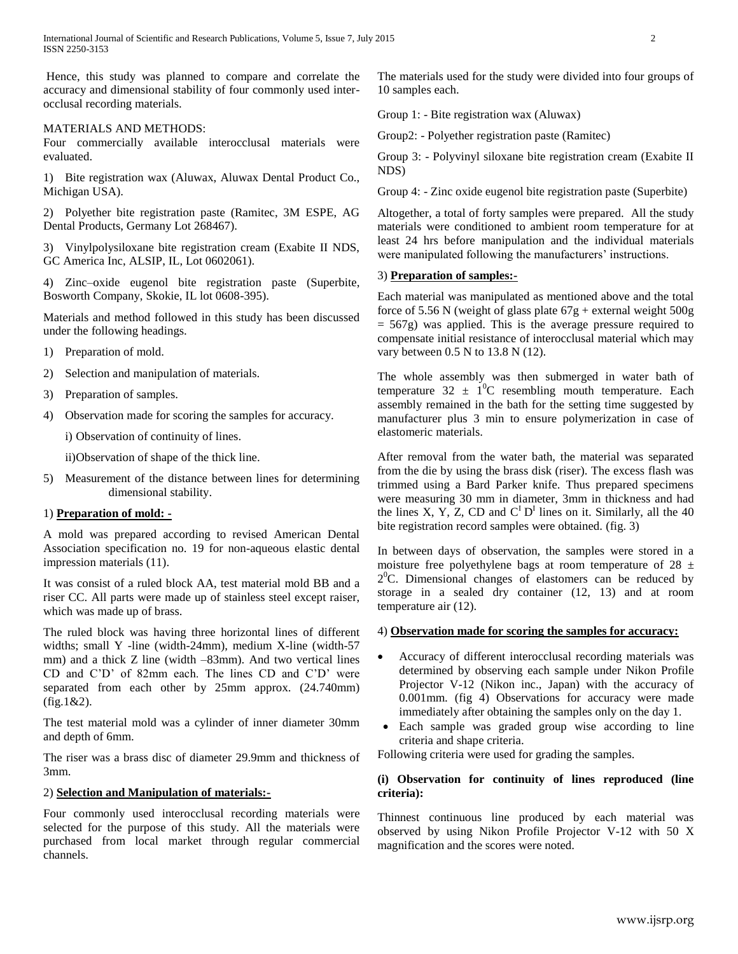Hence, this study was planned to compare and correlate the accuracy and dimensional stability of four commonly used interocclusal recording materials.

#### MATERIALS AND METHODS:

Four commercially available interocclusal materials were evaluated.

1) Bite registration wax (Aluwax, Aluwax Dental Product Co., Michigan USA).

2) Polyether bite registration paste (Ramitec, 3M ESPE, AG Dental Products, Germany Lot 268467).

3) Vinylpolysiloxane bite registration cream (Exabite II NDS, GC America Inc, ALSIP, IL, Lot 0602061).

4) Zinc–oxide eugenol bite registration paste (Superbite, Bosworth Company, Skokie, IL lot 0608-395).

Materials and method followed in this study has been discussed under the following headings.

- 1) Preparation of mold.
- 2) Selection and manipulation of materials.
- 3) Preparation of samples.
- 4) Observation made for scoring the samples for accuracy.

i) Observation of continuity of lines.

ii)Observation of shape of the thick line.

5) Measurement of the distance between lines for determining dimensional stability.

#### 1) **Preparation of mold: -**

A mold was prepared according to revised American Dental Association specification no. 19 for non-aqueous elastic dental impression materials (11).

It was consist of a ruled block AA, test material mold BB and a riser CC. All parts were made up of stainless steel except raiser, which was made up of brass.

The ruled block was having three horizontal lines of different widths; small Y -line (width-24mm), medium X-line (width-57) mm) and a thick Z line (width –83mm). And two vertical lines CD and C'D' of 82mm each. The lines CD and C'D' were separated from each other by 25mm approx. (24.740mm)  $(fig.1&2).$ 

The test material mold was a cylinder of inner diameter 30mm and depth of 6mm.

The riser was a brass disc of diameter 29.9mm and thickness of 3mm.

#### 2) **Selection and Manipulation of materials:-**

Four commonly used interocclusal recording materials were selected for the purpose of this study. All the materials were purchased from local market through regular commercial channels.

The materials used for the study were divided into four groups of 10 samples each.

Group 1: - Bite registration wax (Aluwax)

Group2: - Polyether registration paste (Ramitec)

Group 3: - Polyvinyl siloxane bite registration cream (Exabite II NDS)

Group 4: - Zinc oxide eugenol bite registration paste (Superbite)

Altogether, a total of forty samples were prepared. All the study materials were conditioned to ambient room temperature for at least 24 hrs before manipulation and the individual materials were manipulated following the manufacturers' instructions.

# 3) **Preparation of samples:-**

Each material was manipulated as mentioned above and the total force of 5.56 N (weight of glass plate  $67g +$  external weight  $500g$ = 567g) was applied. This is the average pressure required to compensate initial resistance of interocclusal material which may vary between 0.5 N to 13.8 N (12).

The whole assembly was then submerged in water bath of temperature  $32 \pm 10^{\circ}$ C resembling mouth temperature. Each assembly remained in the bath for the setting time suggested by manufacturer plus 3 min to ensure polymerization in case of elastomeric materials.

After removal from the water bath, the material was separated from the die by using the brass disk (riser). The excess flash was trimmed using a Bard Parker knife. Thus prepared specimens were measuring 30 mm in diameter, 3mm in thickness and had the lines X, Y, Z, CD and  $C^{I}D^{I}$  lines on it. Similarly, all the 40 bite registration record samples were obtained. (fig. 3)

In between days of observation, the samples were stored in a moisture free polyethylene bags at room temperature of  $28 \pm$ 2 <sup>0</sup>C. Dimensional changes of elastomers can be reduced by storage in a sealed dry container (12, 13) and at room temperature air (12).

#### 4) **Observation made for scoring the samples for accuracy:**

- Accuracy of different interocclusal recording materials was determined by observing each sample under Nikon Profile Projector V-12 (Nikon inc., Japan) with the accuracy of 0.001mm. (fig 4) Observations for accuracy were made immediately after obtaining the samples only on the day 1.
- Each sample was graded group wise according to line criteria and shape criteria.

Following criteria were used for grading the samples.

#### **(i) Observation for continuity of lines reproduced (line criteria):**

Thinnest continuous line produced by each material was observed by using Nikon Profile Projector V-12 with 50 X magnification and the scores were noted.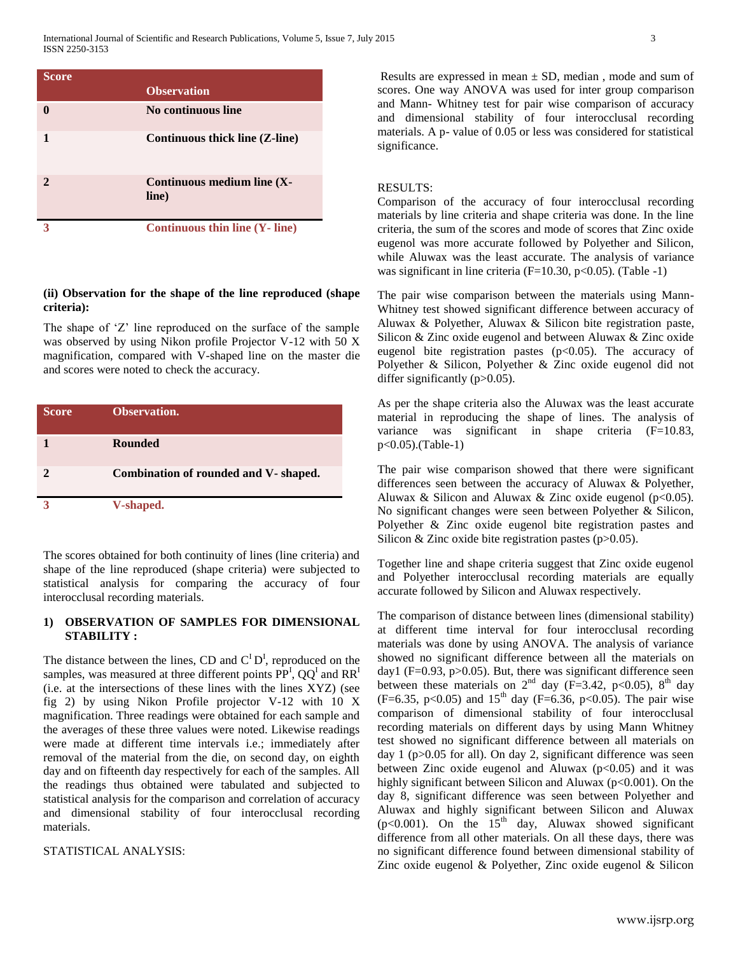| <b>Score</b> |                                      |
|--------------|--------------------------------------|
|              | <b>Observation</b>                   |
|              | No continuous line                   |
|              | Continuous thick line (Z-line)       |
|              | Continuous medium line (X-<br>line)  |
|              | <b>Continuous thin line (Y-line)</b> |

#### **(ii) Observation for the shape of the line reproduced (shape criteria):**

The shape of 'Z' line reproduced on the surface of the sample was observed by using Nikon profile Projector V-12 with 50 X magnification, compared with V-shaped line on the master die and scores were noted to check the accuracy.

| <b>Score</b> | Observation.                          |
|--------------|---------------------------------------|
|              | <b>Rounded</b>                        |
|              | Combination of rounded and V- shaped. |
|              | V-shaped.                             |

The scores obtained for both continuity of lines (line criteria) and shape of the line reproduced (shape criteria) were subjected to statistical analysis for comparing the accuracy of four interocclusal recording materials.

# **1) OBSERVATION OF SAMPLES FOR DIMENSIONAL STABILITY :**

The distance between the lines, CD and  $C^{\text{I}}D^{\text{I}}$ , reproduced on the samples, was measured at three different points  $\overline{PP}^I$ ,  $QQ^I$  and  $\overline{RR}^I$ (i.e. at the intersections of these lines with the lines XYZ) (see fig 2) by using Nikon Profile projector V-12 with 10 X magnification. Three readings were obtained for each sample and the averages of these three values were noted. Likewise readings were made at different time intervals i.e.; immediately after removal of the material from the die, on second day, on eighth day and on fifteenth day respectively for each of the samples. All the readings thus obtained were tabulated and subjected to statistical analysis for the comparison and correlation of accuracy and dimensional stability of four interocclusal recording materials.

# STATISTICAL ANALYSIS:

Results are expressed in mean  $\pm$  SD, median, mode and sum of scores. One way ANOVA was used for inter group comparison and Mann- Whitney test for pair wise comparison of accuracy and dimensional stability of four interocclusal recording materials. A p- value of 0.05 or less was considered for statistical significance.

# RESULTS:

Comparison of the accuracy of four interocclusal recording materials by line criteria and shape criteria was done. In the line criteria, the sum of the scores and mode of scores that Zinc oxide eugenol was more accurate followed by Polyether and Silicon, while Aluwax was the least accurate. The analysis of variance was significant in line criteria (F=10.30, p<0.05). (Table -1)

The pair wise comparison between the materials using Mann-Whitney test showed significant difference between accuracy of Aluwax & Polyether, Aluwax & Silicon bite registration paste, Silicon & Zinc oxide eugenol and between Aluwax & Zinc oxide eugenol bite registration pastes (p<0.05). The accuracy of Polyether & Silicon, Polyether & Zinc oxide eugenol did not differ significantly  $(p>0.05)$ .

As per the shape criteria also the Aluwax was the least accurate material in reproducing the shape of lines. The analysis of variance was significant in shape criteria (F=10.83, p<0.05).(Table-1)

The pair wise comparison showed that there were significant differences seen between the accuracy of Aluwax & Polyether, Aluwax & Silicon and Aluwax & Zinc oxide eugenol ( $p<0.05$ ). No significant changes were seen between Polyether & Silicon, Polyether & Zinc oxide eugenol bite registration pastes and Silicon & Zinc oxide bite registration pastes (p>0.05).

Together line and shape criteria suggest that Zinc oxide eugenol and Polyether interocclusal recording materials are equally accurate followed by Silicon and Aluwax respectively.

The comparison of distance between lines (dimensional stability) at different time interval for four interocclusal recording materials was done by using ANOVA. The analysis of variance showed no significant difference between all the materials on day1 ( $F=0.93$ ,  $p>0.05$ ). But, there was significant difference seen between these materials on  $2<sup>nd</sup>$  day (F=3.42, p<0.05),  $8<sup>th</sup>$  day (F=6.35, p<0.05) and  $15<sup>th</sup>$  day (F=6.36, p<0.05). The pair wise comparison of dimensional stability of four interocclusal recording materials on different days by using Mann Whitney test showed no significant difference between all materials on day 1 (p>0.05 for all). On day 2, significant difference was seen between Zinc oxide eugenol and Aluwax  $(p<0.05)$  and it was highly significant between Silicon and Aluwax (p<0.001). On the day 8, significant difference was seen between Polyether and Aluwax and highly significant between Silicon and Aluwax  $(p<0.001)$ . On the 15<sup>th</sup> day, Aluwax showed significant difference from all other materials. On all these days, there was no significant difference found between dimensional stability of Zinc oxide eugenol & Polyether, Zinc oxide eugenol & Silicon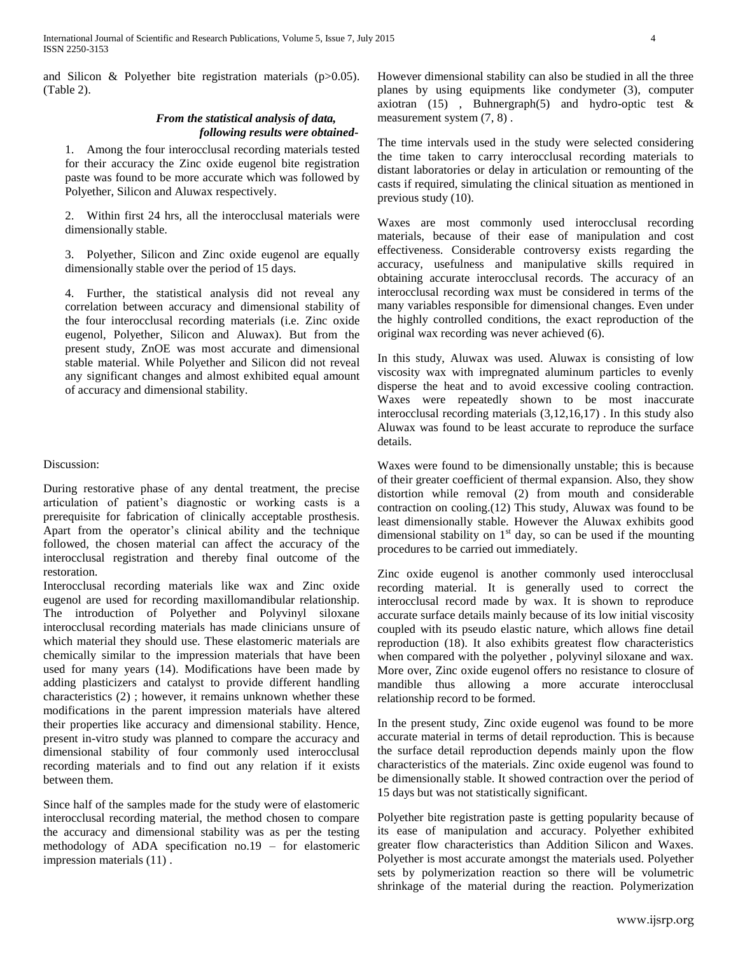and Silicon & Polyether bite registration materials (p>0.05). (Table 2).

## *From the statistical analysis of data, following results were obtained-*

1. Among the four interocclusal recording materials tested for their accuracy the Zinc oxide eugenol bite registration paste was found to be more accurate which was followed by Polyether, Silicon and Aluwax respectively.

2. Within first 24 hrs, all the interocclusal materials were dimensionally stable.

3. Polyether, Silicon and Zinc oxide eugenol are equally dimensionally stable over the period of 15 days.

4. Further, the statistical analysis did not reveal any correlation between accuracy and dimensional stability of the four interocclusal recording materials (i.e. Zinc oxide eugenol, Polyether, Silicon and Aluwax). But from the present study, ZnOE was most accurate and dimensional stable material. While Polyether and Silicon did not reveal any significant changes and almost exhibited equal amount of accuracy and dimensional stability.

# Discussion:

During restorative phase of any dental treatment, the precise articulation of patient's diagnostic or working casts is a prerequisite for fabrication of clinically acceptable prosthesis. Apart from the operator's clinical ability and the technique followed, the chosen material can affect the accuracy of the interocclusal registration and thereby final outcome of the restoration.

Interocclusal recording materials like wax and Zinc oxide eugenol are used for recording maxillomandibular relationship. The introduction of Polyether and Polyvinyl siloxane interocclusal recording materials has made clinicians unsure of which material they should use. These elastomeric materials are chemically similar to the impression materials that have been used for many years (14). Modifications have been made by adding plasticizers and catalyst to provide different handling characteristics (2) ; however, it remains unknown whether these modifications in the parent impression materials have altered their properties like accuracy and dimensional stability. Hence, present in-vitro study was planned to compare the accuracy and dimensional stability of four commonly used interocclusal recording materials and to find out any relation if it exists between them.

Since half of the samples made for the study were of elastomeric interocclusal recording material, the method chosen to compare the accuracy and dimensional stability was as per the testing methodology of ADA specification no.19 – for elastomeric impression materials (11) .

However dimensional stability can also be studied in all the three planes by using equipments like condymeter (3), computer axiotran (15), Buhnergraph(5) and hydro-optic test  $\&$ measurement system (7, 8) .

The time intervals used in the study were selected considering the time taken to carry interocclusal recording materials to distant laboratories or delay in articulation or remounting of the casts if required, simulating the clinical situation as mentioned in previous study (10).

Waxes are most commonly used interocclusal recording materials, because of their ease of manipulation and cost effectiveness. Considerable controversy exists regarding the accuracy, usefulness and manipulative skills required in obtaining accurate interocclusal records. The accuracy of an interocclusal recording wax must be considered in terms of the many variables responsible for dimensional changes. Even under the highly controlled conditions, the exact reproduction of the original wax recording was never achieved (6).

In this study, Aluwax was used. Aluwax is consisting of low viscosity wax with impregnated aluminum particles to evenly disperse the heat and to avoid excessive cooling contraction. Waxes were repeatedly shown to be most inaccurate interocclusal recording materials (3,12,16,17) . In this study also Aluwax was found to be least accurate to reproduce the surface details.

Waxes were found to be dimensionally unstable; this is because of their greater coefficient of thermal expansion. Also, they show distortion while removal (2) from mouth and considerable contraction on cooling.(12) This study, Aluwax was found to be least dimensionally stable. However the Aluwax exhibits good dimensional stability on  $1<sup>st</sup>$  day, so can be used if the mounting procedures to be carried out immediately.

Zinc oxide eugenol is another commonly used interocclusal recording material. It is generally used to correct the interocclusal record made by wax. It is shown to reproduce accurate surface details mainly because of its low initial viscosity coupled with its pseudo elastic nature, which allows fine detail reproduction (18). It also exhibits greatest flow characteristics when compared with the polyether, polyvinyl siloxane and wax. More over, Zinc oxide eugenol offers no resistance to closure of mandible thus allowing a more accurate interocclusal relationship record to be formed.

In the present study, Zinc oxide eugenol was found to be more accurate material in terms of detail reproduction. This is because the surface detail reproduction depends mainly upon the flow characteristics of the materials. Zinc oxide eugenol was found to be dimensionally stable. It showed contraction over the period of 15 days but was not statistically significant.

Polyether bite registration paste is getting popularity because of its ease of manipulation and accuracy. Polyether exhibited greater flow characteristics than Addition Silicon and Waxes. Polyether is most accurate amongst the materials used. Polyether sets by polymerization reaction so there will be volumetric shrinkage of the material during the reaction. Polymerization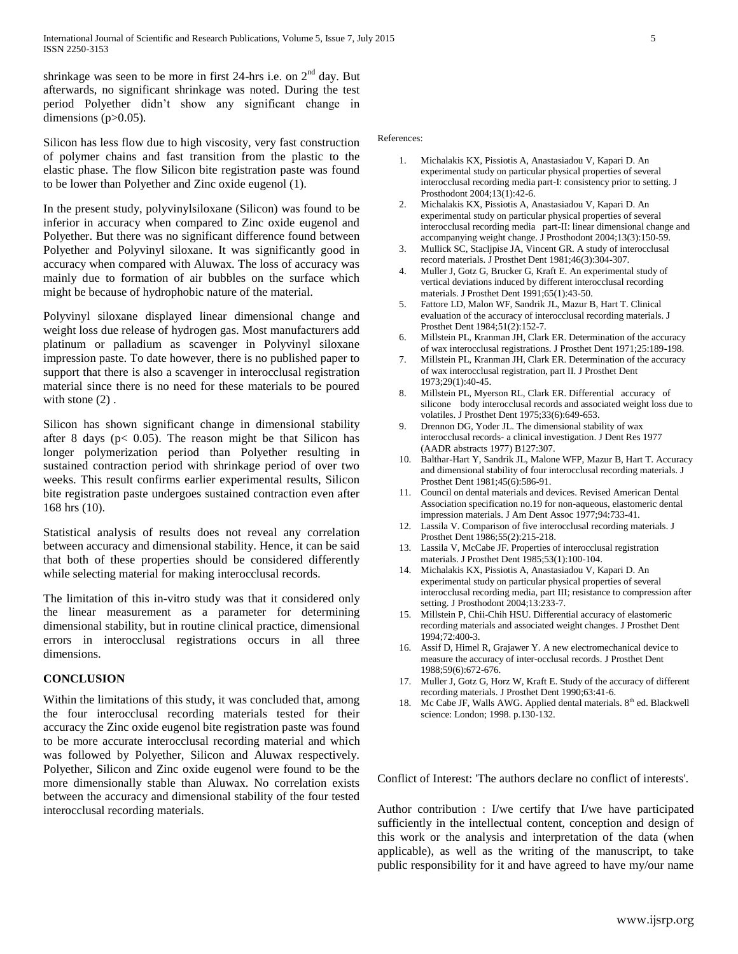shrinkage was seen to be more in first 24-hrs i.e. on  $2<sup>nd</sup>$  day. But afterwards, no significant shrinkage was noted. During the test period Polyether didn't show any significant change in dimensions  $(p>0.05)$ .

Silicon has less flow due to high viscosity, very fast construction of polymer chains and fast transition from the plastic to the elastic phase. The flow Silicon bite registration paste was found to be lower than Polyether and Zinc oxide eugenol (1).

In the present study, polyvinylsiloxane (Silicon) was found to be inferior in accuracy when compared to Zinc oxide eugenol and Polyether. But there was no significant difference found between Polyether and Polyvinyl siloxane. It was significantly good in accuracy when compared with Aluwax. The loss of accuracy was mainly due to formation of air bubbles on the surface which might be because of hydrophobic nature of the material.

Polyvinyl siloxane displayed linear dimensional change and weight loss due release of hydrogen gas. Most manufacturers add platinum or palladium as scavenger in Polyvinyl siloxane impression paste. To date however, there is no published paper to support that there is also a scavenger in interocclusal registration material since there is no need for these materials to be poured with stone  $(2)$ .

Silicon has shown significant change in dimensional stability after 8 days ( $p < 0.05$ ). The reason might be that Silicon has longer polymerization period than Polyether resulting in sustained contraction period with shrinkage period of over two weeks. This result confirms earlier experimental results, Silicon bite registration paste undergoes sustained contraction even after 168 hrs (10).

Statistical analysis of results does not reveal any correlation between accuracy and dimensional stability. Hence, it can be said that both of these properties should be considered differently while selecting material for making interocclusal records.

The limitation of this in-vitro study was that it considered only the linear measurement as a parameter for determining dimensional stability, but in routine clinical practice, dimensional errors in interocclusal registrations occurs in all three dimensions.

#### **CONCLUSION**

Within the limitations of this study, it was concluded that, among the four interocclusal recording materials tested for their accuracy the Zinc oxide eugenol bite registration paste was found to be more accurate interocclusal recording material and which was followed by Polyether, Silicon and Aluwax respectively. Polyether, Silicon and Zinc oxide eugenol were found to be the more dimensionally stable than Aluwax. No correlation exists between the accuracy and dimensional stability of the four tested interocclusal recording materials.

# References:

- 1. Michalakis KX, Pissiotis A, Anastasiadou V, Kapari D. An experimental study on particular physical properties of several interocclusal recording media part-I: consistency prior to setting. J Prosthodont 2004;13(1):42-6.
- 2. Michalakis KX, Pissiotis A, Anastasiadou V, Kapari D. An experimental study on particular physical properties of several interocclusal recording media part-II: linear dimensional change and accompanying weight change. J Prosthodont 2004;13(3):150-59.
- 3. Mullick SC, Stacljpise JA, Vincent GR. A study of interocclusal record materials. J Prosthet Dent 1981;46(3):304-307.
- 4. Muller J, Gotz G, Brucker G, Kraft E. An experimental study of vertical deviations induced by different interocclusal recording materials. J Prosthet Dent 1991;65(1):43-50.
- 5. Fattore LD, Malon WF, Sandrik JL, Mazur B, Hart T. Clinical evaluation of the accuracy of interocclusal recording materials. J Prosthet Dent 1984;51(2):152-7.
- 6. Millstein PL, Kranman JH, Clark ER. Determination of the accuracy of wax interocclusal registrations. J Prosthet Dent 1971;25:189-198.
- 7. Millstein PL, Kranman JH, Clark ER. Determination of the accuracy of wax interocclusal registration, part II. J Prosthet Dent 1973;29(1):40-45.
- 8. Millstein PL, Myerson RL, Clark ER. Differential accuracy of silicone body interocclusal records and associated weight loss due to volatiles. J Prosthet Dent 1975;33(6):649-653.
- 9. Drennon DG, Yoder JL. The dimensional stability of wax interocclusal records- a clinical investigation. J Dent Res 1977 (AADR abstracts 1977) B127:307.
- 10. Balthar-Hart Y, Sandrik JL, Malone WFP, Mazur B, Hart T. Accuracy and dimensional stability of four interocclusal recording materials. J Prosthet Dent 1981;45(6):586-91.
- 11. Council on dental materials and devices. Revised American Dental Association specification no.19 for non-aqueous, elastomeric dental impression materials. J Am Dent Assoc 1977;94:733-41.
- 12. Lassila V. Comparison of five interocclusal recording materials. J Prosthet Dent 1986;55(2):215-218.
- 13. Lassila V, McCabe JF. Properties of interocclusal registration materials. J Prosthet Dent 1985;53(1):100-104.
- 14. Michalakis KX, Pissiotis A, Anastasiadou V, Kapari D. An experimental study on particular physical properties of several interocclusal recording media, part III; resistance to compression after setting. J Prosthodont 2004;13:233-7.
- 15. Millstein P, Chii-Chih HSU. Differential accuracy of elastomeric recording materials and associated weight changes. J Prosthet Dent 1994;72:400-3.
- 16. Assif D, Himel R, Grajawer Y. A new electromechanical device to measure the accuracy of inter-occlusal records. J Prosthet Dent 1988;59(6):672-676.
- 17. Muller J, Gotz G, Horz W, Kraft E. Study of the accuracy of different recording materials. J Prosthet Dent 1990;63:41-6.
- 18. Mc Cabe JF, Walls AWG. Applied dental materials. 8<sup>th</sup> ed. Blackwell science: London; 1998. p.130-132.

Conflict of Interest: 'The authors declare no conflict of interests'.

Author contribution : I/we certify that I/we have participated sufficiently in the intellectual content, conception and design of this work or the analysis and interpretation of the data (when applicable), as well as the writing of the manuscript, to take public responsibility for it and have agreed to have my/our name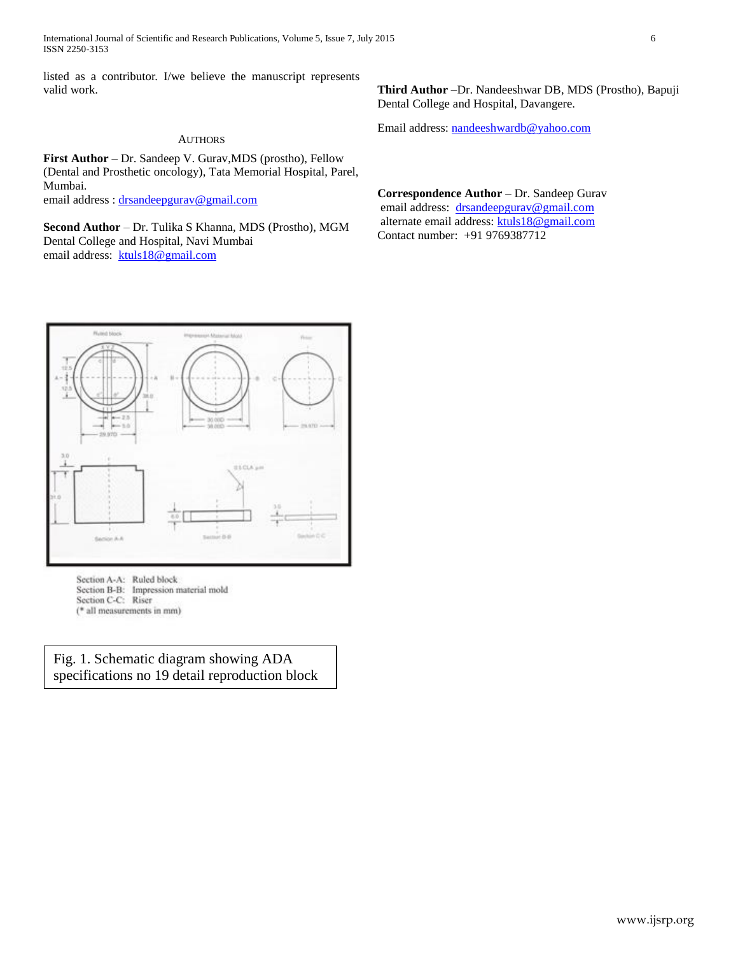International Journal of Scientific and Research Publications, Volume 5, Issue 7, July 2015 6 ISSN 2250-3153

listed as a contributor. I/we believe the manuscript represents valid work.

#### AUTHORS

**First Author** – Dr. Sandeep V. Gurav,MDS (prostho), Fellow (Dental and Prosthetic oncology), Tata Memorial Hospital, Parel, Mumbai.

email address : [drsandeepgurav@gmail.com](mailto:drsandeepgurav@gmail.com)

**Second Author** – Dr. Tulika S Khanna, MDS (Prostho), MGM Dental College and Hospital, Navi Mumbai email address: [ktuls18@gmail.com](mailto:ktuls18@gmail.com)



Email address: [nandeeshwardb@yahoo.com](mailto:nandeeshwardb@yahoo.com)

**Correspondence Author** – Dr. Sandeep Gurav email address: [drsandeepgurav@gmail.com](mailto:drsandeepgurav@gmail.com) alternate email address[: ktuls18@gmail.com](mailto:ktuls18@gmail.com) Contact number: +91 9769387712



Section A-A: Ruled block Section B-B: Impression material mold Section C-C: Riser (\* all measurements in mm)

Fig. 1. Schematic diagram showing ADA specifications no 19 detail reproduction block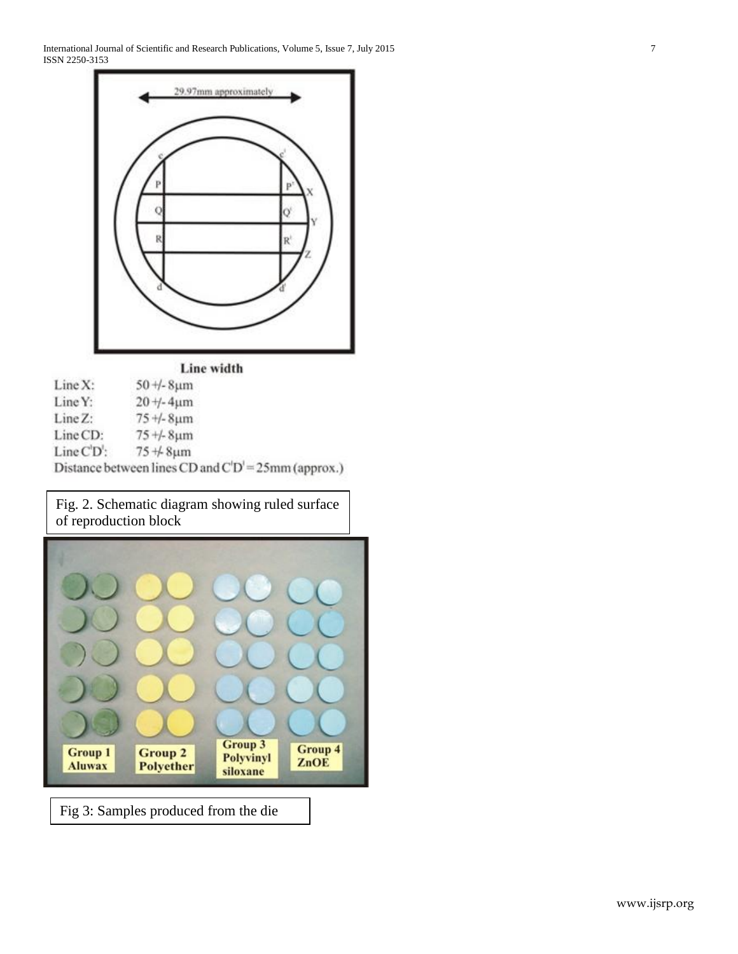International Journal of Scientific and Research Publications, Volume 5, Issue 7, July 2015 7 ISSN 2250-3153



# Line width

| Line X:     | $50 + 8 \mu m$                                        |
|-------------|-------------------------------------------------------|
| Line Y:     | $20 + -4 \mu m$                                       |
| $Line Z$ :  | $75 + 8 \mu m$                                        |
| Line CD:    | $75 + S \mu m$                                        |
| $Line CD$ : | $75 + 8 \mu m$                                        |
|             | Distance between lines CD and $C'D' = 25mm$ (approx.) |

Fig. 2. Schematic diagram showing ruled surface of reproduction block



Fig 3: Samples produced from the die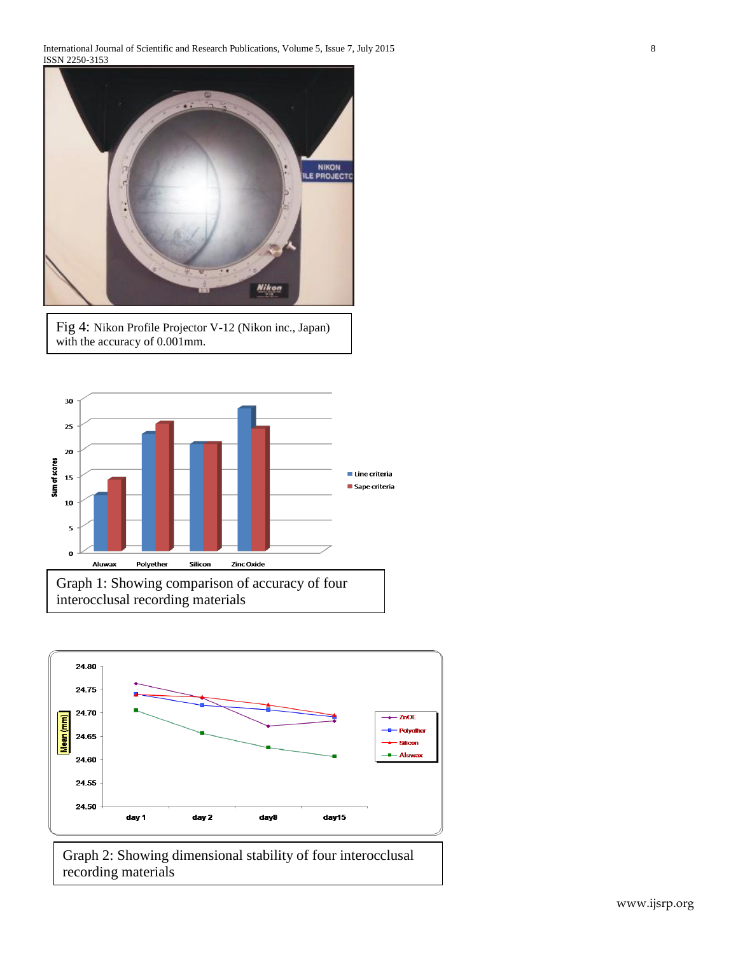International Journal of Scientific and Research Publications, Volume 5, Issue 7, July 2015 8 ISSN 2250-3153



Fig 4: Nikon Profile Projector V-12 (Nikon inc., Japan) with the accuracy of 0.001mm.





Graph 2: Showing dimensional stability of four interocclusal recording materials